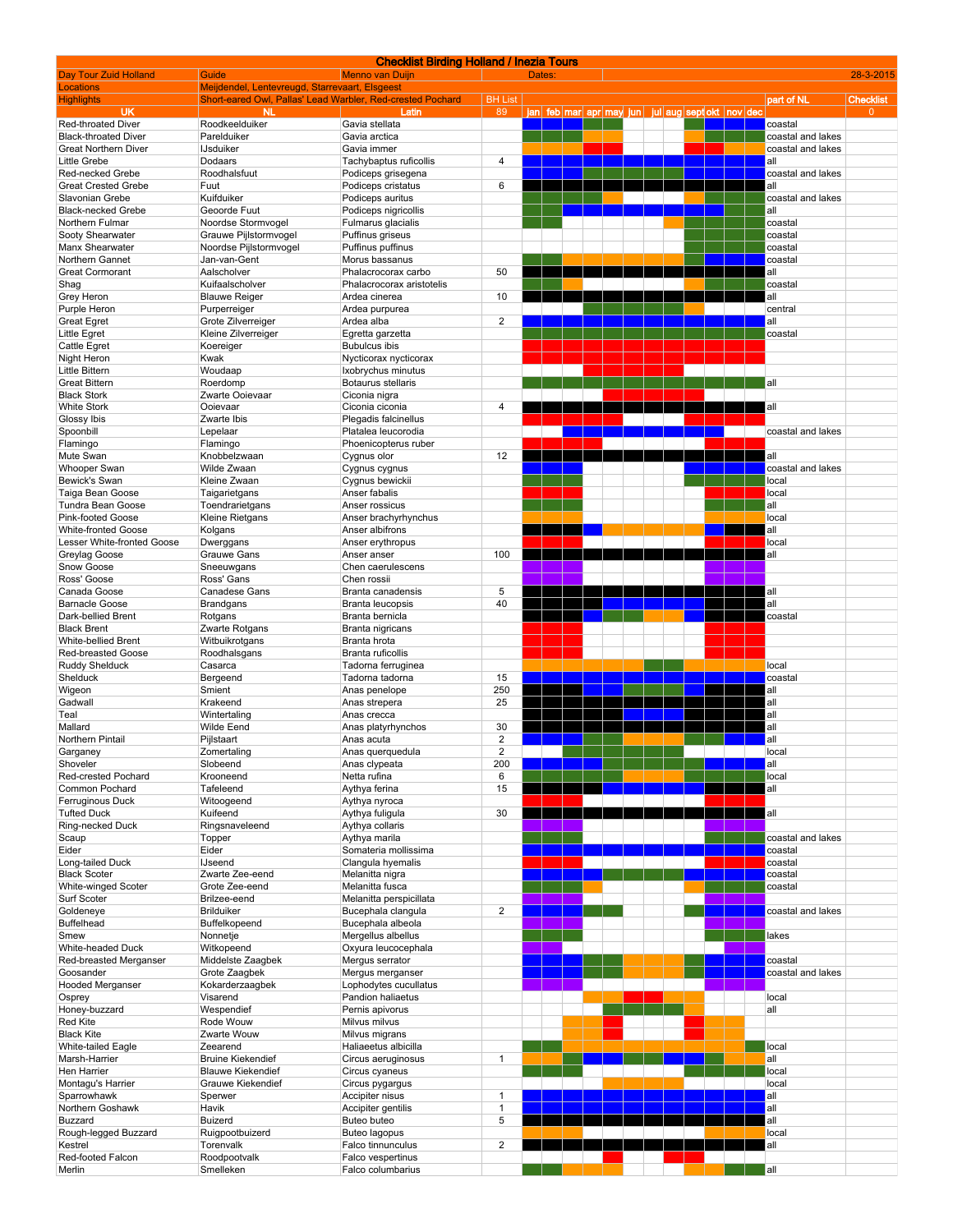| <b>Checklist Birding Holland / Inezia Tours</b> |                                                            |                           |                         |  |        |  |  |  |  |  |  |                                                  |                   |                  |
|-------------------------------------------------|------------------------------------------------------------|---------------------------|-------------------------|--|--------|--|--|--|--|--|--|--------------------------------------------------|-------------------|------------------|
| Day Tour Zuid Holland                           | Guide                                                      | <b>Menno van Duijn</b>    |                         |  | Dates: |  |  |  |  |  |  |                                                  |                   | 28-3-2015        |
| Locations                                       | Meijdendel, Lentevreugd, Starrevaart, Elsgeest             |                           |                         |  |        |  |  |  |  |  |  |                                                  |                   |                  |
| <b>Highlights</b>                               | Short-eared Owl, Pallas' Lead Warbler, Red-crested Pochard |                           | <b>BH List</b>          |  |        |  |  |  |  |  |  |                                                  | part of NL        | <b>Checklist</b> |
| UK<br>Red-throated Diver                        | NL.<br>Roodkeelduiker                                      | Latin<br>Gavia stellata   | 89                      |  |        |  |  |  |  |  |  | jan feb mar apr may jun jul aug sept okt nov dec | coastal           | $\mathbf{0}$     |
| <b>Black-throated Diver</b>                     | Parelduiker                                                | Gavia arctica             |                         |  |        |  |  |  |  |  |  |                                                  | coastal and lakes |                  |
| <b>Great Northern Diver</b>                     | <b>IJsduiker</b>                                           | Gavia immer               |                         |  |        |  |  |  |  |  |  |                                                  | coastal and lakes |                  |
| Little Grebe                                    | Dodaars                                                    | Tachybaptus ruficollis    | 4                       |  |        |  |  |  |  |  |  |                                                  | all               |                  |
| Red-necked Grebe                                | Roodhalsfuut                                               | Podiceps grisegena        |                         |  |        |  |  |  |  |  |  |                                                  | coastal and lakes |                  |
| <b>Great Crested Grebe</b>                      | Fuut                                                       | Podiceps cristatus        | 6                       |  |        |  |  |  |  |  |  |                                                  | all               |                  |
| Slavonian Grebe                                 | Kuifduiker                                                 | Podiceps auritus          |                         |  |        |  |  |  |  |  |  |                                                  | coastal and lakes |                  |
| <b>Black-necked Grebe</b>                       | Geoorde Fuut                                               | Podiceps nigricollis      |                         |  |        |  |  |  |  |  |  |                                                  | all               |                  |
| Northern Fulmar                                 | Noordse Stormvogel                                         | Fulmarus glacialis        |                         |  |        |  |  |  |  |  |  |                                                  | coastal           |                  |
| Sooty Shearwater                                | Grauwe Pijlstormvogel                                      | Puffinus griseus          |                         |  |        |  |  |  |  |  |  |                                                  | coastal           |                  |
| Manx Shearwater                                 | Noordse Pijlstormvogel                                     | Puffinus puffinus         |                         |  |        |  |  |  |  |  |  |                                                  | coastal           |                  |
| Northern Gannet                                 | Jan-van-Gent                                               | Morus bassanus            |                         |  |        |  |  |  |  |  |  |                                                  | coastal           |                  |
| <b>Great Cormorant</b>                          | Aalscholver                                                | Phalacrocorax carbo       | 50                      |  |        |  |  |  |  |  |  |                                                  | all               |                  |
| Shag                                            | Kuifaalscholver                                            | Phalacrocorax aristotelis |                         |  |        |  |  |  |  |  |  |                                                  | coastal           |                  |
| Grey Heron                                      | <b>Blauwe Reiger</b>                                       | Ardea cinerea             | 10                      |  |        |  |  |  |  |  |  |                                                  | all               |                  |
| Purple Heron                                    | Purperreiger                                               | Ardea purpurea            |                         |  |        |  |  |  |  |  |  |                                                  | central           |                  |
| <b>Great Egret</b>                              | Grote Zilverreiger                                         | Ardea alba                | $\overline{\mathbf{c}}$ |  |        |  |  |  |  |  |  |                                                  | all               |                  |
| Little Egret                                    | Kleine Zilverreiger                                        | Egretta garzetta          |                         |  |        |  |  |  |  |  |  |                                                  | coastal           |                  |
| Cattle Egret                                    | Koereiger                                                  | <b>Bubulcus ibis</b>      |                         |  |        |  |  |  |  |  |  |                                                  |                   |                  |
| Night Heron                                     | Kwak                                                       | Nycticorax nycticorax     |                         |  |        |  |  |  |  |  |  |                                                  |                   |                  |
| Little Bittern                                  | Woudaap                                                    | Ixobrychus minutus        |                         |  |        |  |  |  |  |  |  |                                                  |                   |                  |
| <b>Great Bittern</b>                            | Roerdomp                                                   | Botaurus stellaris        |                         |  |        |  |  |  |  |  |  |                                                  | all               |                  |
| <b>Black Stork</b>                              | Zwarte Ooievaar                                            | Ciconia nigra             |                         |  |        |  |  |  |  |  |  |                                                  |                   |                  |
| <b>White Stork</b>                              | Ooievaar                                                   | Ciconia ciconia           | 4                       |  |        |  |  |  |  |  |  |                                                  | all               |                  |
| Glossy Ibis                                     | Zwarte Ibis                                                | Plegadis falcinellus      |                         |  |        |  |  |  |  |  |  |                                                  |                   |                  |
| Spoonbill                                       | Lepelaar                                                   | Platalea leucorodia       |                         |  |        |  |  |  |  |  |  |                                                  | coastal and lakes |                  |
| Flamingo                                        | Flamingo                                                   | Phoenicopterus ruber      |                         |  |        |  |  |  |  |  |  |                                                  |                   |                  |
| Mute Swan                                       | Knobbelzwaan                                               | Cygnus olor               | 12                      |  |        |  |  |  |  |  |  |                                                  | all               |                  |
| <b>Whooper Swan</b>                             | Wilde Zwaan                                                | Cygnus cygnus             |                         |  |        |  |  |  |  |  |  |                                                  | coastal and lakes |                  |
| Bewick's Swan                                   | Kleine Zwaan                                               | Cygnus bewickii           |                         |  |        |  |  |  |  |  |  |                                                  | local             |                  |
| Taiga Bean Goose                                |                                                            | Anser fabalis             |                         |  |        |  |  |  |  |  |  |                                                  | local             |                  |
| Tundra Bean Goose                               | Taigarietgans<br>Toendrarietgans                           |                           |                         |  |        |  |  |  |  |  |  |                                                  | all               |                  |
|                                                 |                                                            | Anser rossicus            |                         |  |        |  |  |  |  |  |  |                                                  |                   |                  |
| Pink-footed Goose<br><b>White-fronted Goose</b> | Kleine Rietgans                                            | Anser brachyrhynchus      |                         |  |        |  |  |  |  |  |  |                                                  | local<br>all      |                  |
|                                                 | Kolgans                                                    | Anser albifrons           |                         |  |        |  |  |  |  |  |  |                                                  |                   |                  |
| Lesser White-fronted Goose                      | Dwerggans                                                  | Anser erythropus          |                         |  |        |  |  |  |  |  |  |                                                  | local             |                  |
| Greylag Goose                                   | <b>Grauwe Gans</b>                                         | Anser anser               | 100                     |  |        |  |  |  |  |  |  |                                                  | all               |                  |
| Snow Goose                                      | Sneeuwgans                                                 | Chen caerulescens         |                         |  |        |  |  |  |  |  |  |                                                  |                   |                  |
| Ross' Goose                                     | Ross' Gans                                                 | Chen rossii               |                         |  |        |  |  |  |  |  |  |                                                  |                   |                  |
| Canada Goose                                    | Canadese Gans                                              | Branta canadensis         | 5                       |  |        |  |  |  |  |  |  |                                                  | all               |                  |
| <b>Barnacle Goose</b>                           | <b>Brandgans</b>                                           | Branta leucopsis          | 40                      |  |        |  |  |  |  |  |  |                                                  | all               |                  |
| Dark-bellied Brent                              | Rotgans                                                    | Branta bernicla           |                         |  |        |  |  |  |  |  |  |                                                  | coastal           |                  |
| <b>Black Brent</b>                              | Zwarte Rotgans                                             | Branta nigricans          |                         |  |        |  |  |  |  |  |  |                                                  |                   |                  |
| White-bellied Brent                             | Witbuikrotgans                                             | Branta hrota              |                         |  |        |  |  |  |  |  |  |                                                  |                   |                  |
| Red-breasted Goose                              | Roodhalsgans                                               | Branta ruficollis         |                         |  |        |  |  |  |  |  |  |                                                  |                   |                  |
| Ruddy Shelduck                                  | Casarca                                                    | Tadorna ferruginea        |                         |  |        |  |  |  |  |  |  |                                                  | local             |                  |
| Shelduck                                        | Bergeend                                                   | Tadorna tadorna           | 15                      |  |        |  |  |  |  |  |  |                                                  | coastal           |                  |
| Wigeon                                          | Smient                                                     | Anas penelope             | 250                     |  |        |  |  |  |  |  |  |                                                  | all               |                  |
| Gadwall                                         | Krakeend                                                   | Anas strepera             | 25                      |  |        |  |  |  |  |  |  |                                                  | all               |                  |
| Teal                                            | Wintertaling                                               | Anas crecca               |                         |  |        |  |  |  |  |  |  |                                                  | all               |                  |
| Mallard                                         | <b>Wilde Eend</b>                                          | Anas platyrhynchos        | 30                      |  |        |  |  |  |  |  |  |                                                  | all               |                  |
| Northern Pintail                                | Pijlstaart                                                 | Anas acuta                | $\overline{2}$          |  |        |  |  |  |  |  |  |                                                  | all               |                  |
| Garganey                                        | Zomertaling                                                | Anas querquedula          | $\overline{2}$          |  |        |  |  |  |  |  |  |                                                  | local             |                  |
| Shoveler                                        | Slobeend                                                   | Anas clypeata             | 200                     |  |        |  |  |  |  |  |  |                                                  | all               |                  |
| Red-crested Pochard                             | Krooneend                                                  | Netta rufina              | 6                       |  |        |  |  |  |  |  |  |                                                  | local             |                  |
| Common Pochard                                  | Tafeleend                                                  | Aythya ferina             | 15                      |  |        |  |  |  |  |  |  |                                                  | all               |                  |
| Ferruginous Duck                                | Witoogeend                                                 | Aythya nyroca             |                         |  |        |  |  |  |  |  |  |                                                  |                   |                  |
| <b>Tufted Duck</b>                              | Kuifeend                                                   | Aythya fuligula           | 30                      |  |        |  |  |  |  |  |  |                                                  | all               |                  |
| Ring-necked Duck                                | Ringsnaveleend                                             | Aythya collaris           |                         |  |        |  |  |  |  |  |  |                                                  |                   |                  |
| Scaup                                           | Topper                                                     | Aythya marila             |                         |  |        |  |  |  |  |  |  |                                                  | coastal and lakes |                  |
| Eider                                           | Eider                                                      | Somateria mollissima      |                         |  |        |  |  |  |  |  |  |                                                  | coastal           |                  |
| Long-tailed Duck                                | <b>IJseend</b>                                             | Clangula hyemalis         |                         |  |        |  |  |  |  |  |  |                                                  | coastal           |                  |
| <b>Black Scoter</b>                             | Zwarte Zee-eend                                            | Melanitta nigra           |                         |  |        |  |  |  |  |  |  |                                                  | coastal           |                  |
| White-winged Scoter                             | Grote Zee-eend                                             | Melanitta fusca           |                         |  |        |  |  |  |  |  |  |                                                  | coastal           |                  |
| Surf Scoter                                     | Brilzee-eend                                               | Melanitta perspicillata   |                         |  |        |  |  |  |  |  |  |                                                  |                   |                  |
| Goldeneye                                       | <b>Brilduiker</b>                                          | Bucephala clangula        | 2                       |  |        |  |  |  |  |  |  |                                                  | coastal and lakes |                  |
| Buffelhead                                      | Buffelkopeend                                              | Bucephala albeola         |                         |  |        |  |  |  |  |  |  |                                                  |                   |                  |
| Smew                                            | Nonnetje                                                   | Mergellus albellus        |                         |  |        |  |  |  |  |  |  |                                                  | lakes             |                  |
| White-headed Duck                               | Witkopeend                                                 | Oxyura leucocephala       |                         |  |        |  |  |  |  |  |  |                                                  |                   |                  |
| Red-breasted Merganser                          | Middelste Zaagbek                                          | Mergus serrator           |                         |  |        |  |  |  |  |  |  |                                                  | coastal           |                  |
| Goosander                                       | Grote Zaagbek                                              | Mergus merganser          |                         |  |        |  |  |  |  |  |  |                                                  | coastal and lakes |                  |
| <b>Hooded Merganser</b>                         | Kokarderzaagbek                                            | Lophodytes cucullatus     |                         |  |        |  |  |  |  |  |  |                                                  |                   |                  |
| Osprey                                          | Visarend                                                   | Pandion haliaetus         |                         |  |        |  |  |  |  |  |  |                                                  | local             |                  |
| Honey-buzzard                                   | Wespendief                                                 | Pernis apivorus           |                         |  |        |  |  |  |  |  |  |                                                  | all               |                  |
| Red Kite                                        | Rode Wouw                                                  | Milvus milvus             |                         |  |        |  |  |  |  |  |  |                                                  |                   |                  |
| <b>Black Kite</b>                               | Zwarte Wouw                                                | Milvus migrans            |                         |  |        |  |  |  |  |  |  |                                                  |                   |                  |
| White-tailed Eagle                              | Zeearend                                                   | Haliaeetus albicilla      |                         |  |        |  |  |  |  |  |  |                                                  | local             |                  |
| Marsh-Harrier                                   | <b>Bruine Kiekendief</b>                                   | Circus aeruginosus        | $\mathbf{1}$            |  |        |  |  |  |  |  |  |                                                  | all               |                  |
| Hen Harrier                                     | <b>Blauwe Kiekendief</b>                                   | Circus cyaneus            |                         |  |        |  |  |  |  |  |  |                                                  | local             |                  |
| Montagu's Harrier                               | Grauwe Kiekendief                                          | Circus pygargus           |                         |  |        |  |  |  |  |  |  |                                                  | local             |                  |
| Sparrowhawk                                     | Sperwer                                                    | Accipiter nisus           | $\mathbf{1}$            |  |        |  |  |  |  |  |  |                                                  | all               |                  |
| Northern Goshawk                                | Havik                                                      | Accipiter gentilis        | $\mathbf{1}$            |  |        |  |  |  |  |  |  |                                                  | all               |                  |
| Buzzard                                         | <b>Buizerd</b>                                             | Buteo buteo               | 5                       |  |        |  |  |  |  |  |  |                                                  | all               |                  |
| Rough-legged Buzzard                            | Ruigpootbuizerd                                            | Buteo lagopus             |                         |  |        |  |  |  |  |  |  |                                                  | local             |                  |
| Kestrel                                         | Torenvalk                                                  | Falco tinnunculus         | 2                       |  |        |  |  |  |  |  |  |                                                  | all               |                  |
| Red-footed Falcon                               | Roodpootvalk                                               | Falco vespertinus         |                         |  |        |  |  |  |  |  |  |                                                  |                   |                  |
| Merlin                                          | Smelleken                                                  | Falco columbarius         |                         |  |        |  |  |  |  |  |  |                                                  | all               |                  |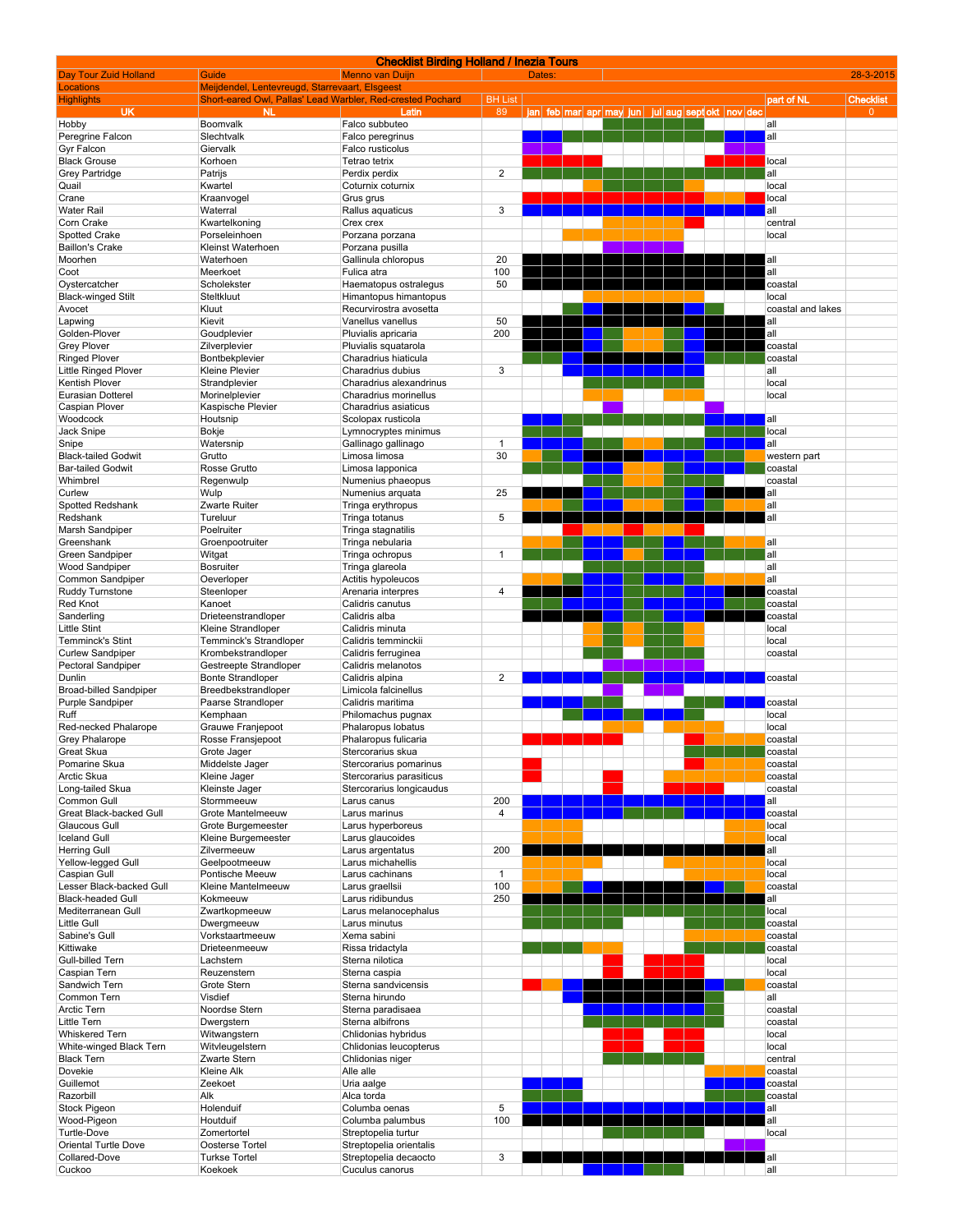|                               |                                                            | <b>Checklist Birding Holland / Inezia Tours</b> |                         |        |                         |  |  |                          |                   |                  |
|-------------------------------|------------------------------------------------------------|-------------------------------------------------|-------------------------|--------|-------------------------|--|--|--------------------------|-------------------|------------------|
| <b>Day Tour Zuid Holland</b>  | Guide                                                      | <b>Menno van Duijn</b>                          |                         | Dates: |                         |  |  |                          |                   | 28-3-2015        |
| <b>Locations</b>              | Meijdendel, Lentevreugd, Starrevaart, Elsgeest             |                                                 |                         |        |                         |  |  |                          |                   |                  |
| <b>Highlights</b>             | Short-eared Owl, Pallas' Lead Warbler, Red-crested Pochard |                                                 | <b>BH List</b>          |        |                         |  |  |                          | part of NL        | <b>Checklist</b> |
| <b>UK</b>                     | <b>NL</b>                                                  | Latin                                           | 89                      |        | jan feb mar apr may jun |  |  | jul aug sept okt nov dec |                   | $\overline{0}$   |
| Hobby                         | Boomvalk                                                   | Falco subbuteo                                  |                         |        |                         |  |  |                          | all               |                  |
| Peregrine Falcon              | Slechtvalk                                                 | Falco peregrinus                                |                         |        |                         |  |  |                          | all               |                  |
| Gyr Falcon                    | Giervalk                                                   | Falco rusticolus                                |                         |        |                         |  |  |                          |                   |                  |
| <b>Black Grouse</b>           | Korhoen                                                    | Tetrao tetrix                                   | $\overline{2}$          |        |                         |  |  |                          | local<br>all      |                  |
| Grey Partridge                | Patrijs                                                    | Perdix perdix                                   |                         |        |                         |  |  |                          |                   |                  |
| Quail                         | Kwartel                                                    | Coturnix coturnix                               |                         |        |                         |  |  |                          | local             |                  |
| Crane                         | Kraanvogel                                                 | Grus grus                                       |                         |        |                         |  |  |                          | local             |                  |
| <b>Water Rail</b>             | Waterral                                                   | Rallus aquaticus                                | 3                       |        |                         |  |  |                          | all               |                  |
| Corn Crake                    | Kwartelkoning                                              | Crex crex                                       |                         |        |                         |  |  |                          | central           |                  |
| Spotted Crake                 | Porseleinhoen                                              | Porzana porzana                                 |                         |        |                         |  |  |                          | local             |                  |
| <b>Baillon's Crake</b>        | Kleinst Waterhoen                                          | Porzana pusilla                                 |                         |        |                         |  |  |                          |                   |                  |
| Moorhen                       | Waterhoen                                                  | Gallinula chloropus                             | 20                      |        |                         |  |  |                          | all               |                  |
| Coot                          | Meerkoet                                                   | Fulica atra                                     | 100                     |        |                         |  |  |                          | all               |                  |
| Oystercatcher                 | Scholekster                                                | Haematopus ostralegus                           | 50                      |        |                         |  |  |                          | coastal           |                  |
| <b>Black-winged Stilt</b>     | Steltkluut                                                 | Himantopus himantopus                           |                         |        |                         |  |  |                          | local             |                  |
| Avocet                        | Kluut                                                      | Recurvirostra avosetta                          |                         |        |                         |  |  |                          | coastal and lakes |                  |
| Lapwing                       | Kievit                                                     | Vanellus vanellus                               | 50                      |        |                         |  |  |                          | all               |                  |
| Golden-Plover                 | Goudplevier                                                | Pluvialis apricaria                             | 200                     |        |                         |  |  |                          | all               |                  |
| <b>Grey Plover</b>            | Zilverplevier                                              | Pluvialis squatarola                            |                         |        |                         |  |  |                          | coastal           |                  |
| <b>Ringed Plover</b>          | Bontbekplevier                                             | Charadrius hiaticula                            |                         |        |                         |  |  |                          | coastal           |                  |
| <b>Little Ringed Plover</b>   | <b>Kleine Plevier</b>                                      | Charadrius dubius                               | 3                       |        |                         |  |  |                          | all               |                  |
| Kentish Plover                | Strandplevier                                              | Charadrius alexandrinus                         |                         |        |                         |  |  |                          | local             |                  |
| <b>Eurasian Dotterel</b>      | Morinelplevier                                             | Charadrius morinellus                           |                         |        |                         |  |  |                          | local             |                  |
| Caspian Plover                | Kaspische Plevier                                          | Charadrius asiaticus                            |                         |        |                         |  |  |                          |                   |                  |
| Woodcock                      | Houtsnip                                                   | Scolopax rusticola                              |                         |        |                         |  |  |                          | all               |                  |
| Jack Snipe                    | Bokje                                                      | Lymnocryptes minimus                            |                         |        |                         |  |  |                          | local             |                  |
| Snipe                         | Watersnip                                                  | Gallinago gallinago                             | 1                       |        |                         |  |  |                          | all               |                  |
| <b>Black-tailed Godwit</b>    | Grutto                                                     | Limosa limosa                                   | 30                      |        |                         |  |  |                          | western part      |                  |
| <b>Bar-tailed Godwit</b>      | Rosse Grutto                                               | Limosa lapponica                                |                         |        |                         |  |  |                          | coastal           |                  |
| Whimbrel                      | Regenwulp                                                  | Numenius phaeopus                               |                         |        |                         |  |  |                          | coastal           |                  |
| Curlew                        | Wulp                                                       | Numenius arquata                                | 25                      |        |                         |  |  |                          | all               |                  |
| Spotted Redshank              | Zwarte Ruiter                                              | Tringa erythropus                               |                         |        |                         |  |  |                          | all               |                  |
| Redshank                      | Tureluur                                                   | Tringa totanus                                  | 5                       |        |                         |  |  |                          | all               |                  |
| Marsh Sandpiper               | Poelruiter                                                 | Tringa stagnatilis                              |                         |        |                         |  |  |                          |                   |                  |
| Greenshank                    | Groenpootruiter                                            | Tringa nebularia                                |                         |        |                         |  |  |                          | all               |                  |
| Green Sandpiper               | Witgat                                                     | Tringa ochropus                                 | $\mathbf{1}$            |        |                         |  |  |                          | all               |                  |
| <b>Wood Sandpiper</b>         | <b>Bosruiter</b>                                           | Tringa glareola                                 |                         |        |                         |  |  |                          | all               |                  |
| Common Sandpiper              | Oeverloper                                                 | Actitis hypoleucos                              |                         |        |                         |  |  |                          | all               |                  |
| Ruddy Turnstone               | Steenloper                                                 | Arenaria interpres                              | 4                       |        |                         |  |  |                          | coastal           |                  |
| Red Knot                      | Kanoet                                                     | Calidris canutus                                |                         |        |                         |  |  |                          | coastal           |                  |
| Sanderling                    | Drieteenstrandloper                                        | Calidris alba                                   |                         |        |                         |  |  |                          | coastal           |                  |
| <b>Little Stint</b>           | Kleine Strandloper                                         | Calidris minuta                                 |                         |        |                         |  |  |                          | local             |                  |
| Temminck's Stint              | Temminck's Strandloper                                     | Calidris temminckii                             |                         |        |                         |  |  |                          | local             |                  |
| <b>Curlew Sandpiper</b>       | Krombekstrandloper                                         | Calidris ferruginea                             |                         |        |                         |  |  |                          | coastal           |                  |
| Pectoral Sandpiper            | Gestreepte Strandloper                                     | Calidris melanotos                              |                         |        |                         |  |  |                          |                   |                  |
| Dunlin                        | <b>Bonte Strandloper</b>                                   | Calidris alpina                                 | $\overline{\mathbf{c}}$ |        |                         |  |  |                          | coastal           |                  |
| <b>Broad-billed Sandpiper</b> | Breedbekstrandloper                                        | Limicola falcinellus                            |                         |        |                         |  |  |                          |                   |                  |
| Purple Sandpiper              | Paarse Strandloper                                         | Calidris maritima                               |                         |        |                         |  |  |                          | coastal           |                  |
| Ruff                          | Kemphaan                                                   | Philomachus pugnax                              |                         |        |                         |  |  |                          | local             |                  |
| Red-necked Phalarope          | Grauwe Franjepoot                                          | Phalaropus lobatus                              |                         |        |                         |  |  |                          | local             |                  |
| Grey Phalarope                | Rosse Fransjepoot                                          | Phalaropus fulicaria                            |                         |        |                         |  |  |                          | coastal           |                  |
| Great Skua                    | Grote Jager                                                | Stercorarius skua                               |                         |        |                         |  |  |                          | coastal           |                  |
| Pomarine Skua                 | Middelste Jager                                            | Stercorarius pomarinus                          |                         |        |                         |  |  |                          | coastal           |                  |
| Arctic Skua                   | Kleine Jager                                               | Stercorarius parasiticus                        |                         |        |                         |  |  |                          | coastal           |                  |
| Long-tailed Skua              | Kleinste Jager                                             | Stercorarius longicaudus                        |                         |        |                         |  |  |                          | coastal           |                  |
| Common Gull                   | Stormmeeuw                                                 | Larus canus                                     | 200                     |        |                         |  |  |                          | all               |                  |
| Great Black-backed Gull       | Grote Mantelmeeuw                                          | Larus marinus                                   | 4                       |        |                         |  |  |                          | coastal           |                  |
| Glaucous Gull                 | Grote Burgemeester                                         | Larus hyperboreus                               |                         |        |                         |  |  |                          | local             |                  |
| <b>Iceland Gull</b>           | Kleine Burgemeester                                        | Larus glaucoides                                |                         |        |                         |  |  |                          | local             |                  |
| <b>Herring Gull</b>           | Zilvermeeuw                                                | Larus argentatus                                | 200                     |        |                         |  |  |                          | all               |                  |
| Yellow-legged Gull            | Geelpootmeeuw                                              | Larus michahellis                               |                         |        |                         |  |  |                          | local             |                  |
| Caspian Gull                  | Pontische Meeuw                                            | Larus cachinans                                 | $\mathbf{1}$            |        |                         |  |  |                          | local             |                  |
| Lesser Black-backed Gull      | Kleine Mantelmeeuw                                         | Larus graellsii                                 | 100                     |        |                         |  |  |                          | coastal           |                  |
| <b>Black-headed Gull</b>      | Kokmeeuw                                                   | Larus ridibundus                                | 250                     |        |                         |  |  |                          | all               |                  |
| Mediterranean Gull            | Zwartkopmeeuw                                              | Larus melanocephalus                            |                         |        |                         |  |  |                          | local             |                  |
| Little Gull                   | Dwergmeeuw                                                 | Larus minutus                                   |                         |        |                         |  |  |                          | coastal           |                  |
| Sabine's Gull                 | Vorkstaartmeeuw                                            | Xema sabini                                     |                         |        |                         |  |  |                          | coastal           |                  |
| Kittiwake                     | Drieteenmeeuw                                              | Rissa tridactyla                                |                         |        |                         |  |  |                          | coastal           |                  |
| Gull-billed Tern              | Lachstern                                                  | Sterna nilotica                                 |                         |        |                         |  |  |                          | local             |                  |
| Caspian Tern                  | Reuzenstern                                                | Sterna caspia                                   |                         |        |                         |  |  |                          | local             |                  |
| Sandwich Tern                 | Grote Stern                                                | Sterna sandvicensis                             |                         |        |                         |  |  |                          | coastal           |                  |
| Common Tern                   | Visdief                                                    | Sterna hirundo                                  |                         |        |                         |  |  |                          | all               |                  |
| <b>Arctic Tern</b>            | Noordse Stern                                              | Sterna paradisaea                               |                         |        |                         |  |  |                          | coastal           |                  |
| Little Tern                   | Dwergstern                                                 | Sterna albifrons                                |                         |        |                         |  |  |                          | coastal           |                  |
| <b>Whiskered Tern</b>         | Witwangstern                                               | Chlidonias hybridus                             |                         |        |                         |  |  |                          | local             |                  |
| White-winged Black Tern       | Witvleugelstern                                            | Chlidonias leucopterus                          |                         |        |                         |  |  |                          | local             |                  |
| <b>Black Tern</b>             | Zwarte Stern                                               | Chlidonias niger                                |                         |        |                         |  |  |                          | central           |                  |
| Dovekie                       | Kleine Alk                                                 | Alle alle                                       |                         |        |                         |  |  |                          | coastal           |                  |
| Guillemot                     |                                                            |                                                 |                         |        |                         |  |  |                          | coastal           |                  |
| Razorbill                     | Zeekoet                                                    | Uria aalge                                      |                         |        |                         |  |  |                          |                   |                  |
|                               | Alk                                                        | Alca torda                                      |                         |        |                         |  |  |                          | coastal           |                  |
| Stock Pigeon<br>Wood-Pigeon   | Holenduif<br>Houtduif                                      | Columba oenas<br>Columba palumbus               | 5<br>100                |        |                         |  |  |                          | all<br>all        |                  |
| Turtle-Dove                   |                                                            |                                                 |                         |        |                         |  |  |                          | local             |                  |
|                               | Zomertortel                                                | Streptopelia turtur                             |                         |        |                         |  |  |                          |                   |                  |
| Oriental Turtle Dove          | Oosterse Tortel                                            | Streptopelia orientalis                         |                         |        |                         |  |  |                          |                   |                  |
| Collared-Dove                 | <b>Turkse Tortel</b>                                       | Streptopelia decaocto                           | 3                       |        |                         |  |  |                          | all               |                  |
| Cuckoo                        | Koekoek                                                    | Cuculus canorus                                 |                         |        |                         |  |  |                          | all               |                  |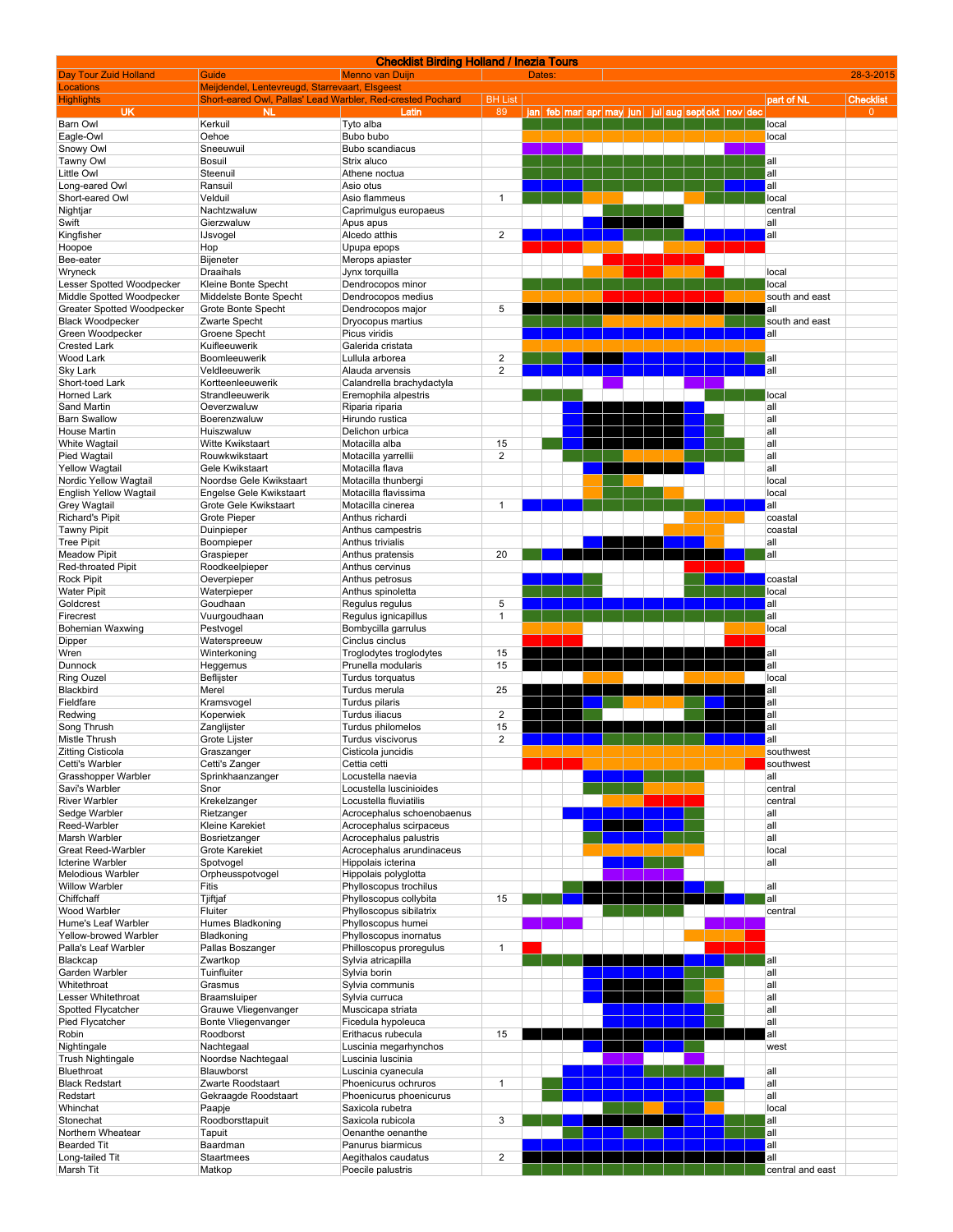|                                            |                                                            | <b>Checklist Birding Holland / Inezia Tours</b> |                      |                                 |  |                          |  |                  |                  |
|--------------------------------------------|------------------------------------------------------------|-------------------------------------------------|----------------------|---------------------------------|--|--------------------------|--|------------------|------------------|
| Day Tour Zuid Holland<br>Locations         | Guide<br>Meijdendel, Lentevreugd, Starrevaart, Elsgeest    | <b>Menno van Duijn</b>                          |                      | Dates:                          |  |                          |  |                  | 28-3-2015        |
| <b>Highlights</b>                          | Short-eared Owl, Pallas' Lead Warbler, Red-crested Pochard |                                                 | <b>BH List</b>       |                                 |  |                          |  | part of NL       | <b>Checklist</b> |
| <b>UK</b>                                  | <b>NL</b>                                                  | Latin                                           | 89                   | <u>ian feb mar apr may juni</u> |  | jul aug sept okt nov dec |  |                  | $\overline{0}$   |
| Barn Owl                                   | Kerkuil                                                    | Tyto alba                                       |                      |                                 |  |                          |  | local            |                  |
| Eagle-Owl<br>Snowy Owl                     | Oehoe<br>Sneeuwuil                                         | Bubo bubo<br>Bubo scandiacus                    |                      |                                 |  |                          |  | local            |                  |
| Tawny Owl                                  | Bosuil                                                     | Strix aluco                                     |                      |                                 |  |                          |  | all              |                  |
| Little Owl                                 | Steenuil                                                   | Athene noctua                                   |                      |                                 |  |                          |  | all              |                  |
| Long-eared Owl                             | Ransuil                                                    | Asio otus                                       |                      |                                 |  |                          |  | all              |                  |
| Short-eared Owl                            | Velduil                                                    | Asio flammeus                                   | $\mathbf{1}$         |                                 |  |                          |  | local            |                  |
| Nightjar                                   | Nachtzwaluw                                                | Caprimulgus europaeus                           |                      |                                 |  |                          |  | central          |                  |
| Swift                                      | Gierzwaluw                                                 | Apus apus                                       | $\overline{2}$       |                                 |  |                          |  | all<br>all       |                  |
| Kingfisher<br>Hoopoe                       | <b>IJsvogel</b><br>Hop                                     | Alcedo atthis<br>Upupa epops                    |                      |                                 |  |                          |  |                  |                  |
| Bee-eater                                  | Bijeneter                                                  | Merops apiaster                                 |                      |                                 |  |                          |  |                  |                  |
| Wryneck                                    | <b>Draaihals</b>                                           | Jynx torquilla                                  |                      |                                 |  |                          |  | local            |                  |
| Lesser Spotted Woodpecker                  | Kleine Bonte Specht                                        | Dendrocopos minor                               |                      |                                 |  |                          |  | local            |                  |
| Middle Spotted Woodpecker                  | Middelste Bonte Specht                                     | Dendrocopos medius                              |                      |                                 |  |                          |  | south and east   |                  |
| Greater Spotted Woodpecker                 | Grote Bonte Specht                                         | Dendrocopos major                               | 5                    |                                 |  |                          |  | all              |                  |
| <b>Black Woodpecker</b>                    | Zwarte Specht                                              | Dryocopus martius                               |                      |                                 |  |                          |  | south and east   |                  |
| Green Woodpecker<br><b>Crested Lark</b>    | Groene Specht<br>Kuifleeuwerik                             | Picus viridis<br>Galerida cristata              |                      |                                 |  |                          |  | all              |                  |
| Wood Lark                                  | Boomleeuwerik                                              | Lullula arborea                                 | $\overline{2}$       |                                 |  |                          |  | all              |                  |
| <b>Sky Lark</b>                            | Veldleeuwerik                                              | Alauda arvensis                                 | $\overline{2}$       |                                 |  |                          |  | all              |                  |
| Short-toed Lark                            | Kortteenleeuwerik                                          | Calandrella brachydactyla                       |                      |                                 |  |                          |  |                  |                  |
| <b>Horned Lark</b>                         | Strandleeuwerik                                            | Eremophila alpestris                            |                      |                                 |  |                          |  | local            |                  |
| Sand Martin                                | Oeverzwaluw                                                | Riparia riparia                                 |                      |                                 |  |                          |  | all              |                  |
| <b>Barn Swallow</b>                        | Boerenzwaluw                                               | Hirundo rustica                                 |                      |                                 |  |                          |  | all              |                  |
| <b>House Martin</b>                        | Huiszwaluw                                                 | Delichon urbica                                 |                      |                                 |  |                          |  | all              |                  |
| White Wagtail                              | <b>Witte Kwikstaart</b>                                    | Motacilla alba                                  | 15<br>$\overline{2}$ |                                 |  |                          |  | all<br>all       |                  |
| Pied Wagtail<br><b>Yellow Wagtail</b>      | Rouwkwikstaart<br>Gele Kwikstaart                          | Motacilla yarrellii<br>Motacilla flava          |                      |                                 |  |                          |  | all              |                  |
| Nordic Yellow Wagtail                      | Noordse Gele Kwikstaart                                    | Motacilla thunbergi                             |                      |                                 |  |                          |  | local            |                  |
| <b>English Yellow Wagtail</b>              | Engelse Gele Kwikstaart                                    | Motacilla flavissima                            |                      |                                 |  |                          |  | local            |                  |
| <b>Grey Wagtail</b>                        | Grote Gele Kwikstaart                                      | Motacilla cinerea                               | $\mathbf{1}$         |                                 |  |                          |  | all              |                  |
| <b>Richard's Pipit</b>                     | <b>Grote Pieper</b>                                        | Anthus richardi                                 |                      |                                 |  |                          |  | coastal          |                  |
| <b>Tawny Pipit</b>                         | Duinpieper                                                 | Anthus campestris                               |                      |                                 |  |                          |  | coastal          |                  |
| <b>Tree Pipit</b>                          | Boompieper                                                 | Anthus trivialis                                |                      |                                 |  |                          |  | all              |                  |
| <b>Meadow Pipit</b>                        | Graspieper                                                 | Anthus pratensis                                | 20                   |                                 |  |                          |  | all              |                  |
| Red-throated Pipit<br><b>Rock Pipit</b>    | Roodkeelpieper<br>Oeverpieper                              | Anthus cervinus<br>Anthus petrosus              |                      |                                 |  |                          |  | coastal          |                  |
| <b>Water Pipit</b>                         | Waterpieper                                                | Anthus spinoletta                               |                      |                                 |  |                          |  | local            |                  |
| Goldcrest                                  | Goudhaan                                                   | Regulus regulus                                 | 5                    |                                 |  |                          |  | all              |                  |
| Firecrest                                  | Vuurgoudhaan                                               | Regulus ignicapillus                            | $\overline{1}$       |                                 |  |                          |  | all              |                  |
| <b>Bohemian Waxwing</b>                    | Pestvogel                                                  | Bombycilla garrulus                             |                      |                                 |  |                          |  | local            |                  |
| Dipper                                     | Waterspreeuw                                               | Cinclus cinclus                                 |                      |                                 |  |                          |  |                  |                  |
| Wren                                       | Winterkoning                                               | Troglodytes troglodytes                         | 15                   |                                 |  |                          |  | all              |                  |
| Dunnock                                    | Heggemus                                                   | Prunella modularis                              | 15                   |                                 |  |                          |  | all              |                  |
| Ring Ouzel<br>Blackbird                    | Beflijster<br>Merel                                        | Turdus torquatus<br>Turdus merula               | 25                   |                                 |  |                          |  | local<br>all     |                  |
| Fieldfare                                  | Kramsvogel                                                 | Turdus pilaris                                  |                      |                                 |  |                          |  | all              |                  |
| Redwing                                    | Koperwiek                                                  | Turdus iliacus                                  | $\overline{2}$       |                                 |  |                          |  | all              |                  |
| Song Thrush                                | Zanglijster                                                | Turdus philomelos                               | 15                   |                                 |  |                          |  | all              |                  |
| Mistle Thrush                              | Grote Lijster                                              | Turdus viscivorus                               | $\overline{2}$       |                                 |  |                          |  | all              |                  |
| Zitting Cisticola                          | Graszanger                                                 | Cisticola juncidis                              |                      |                                 |  |                          |  | southwest        |                  |
| Cetti's Warbler                            | Cetti's Zanger                                             | Cettia cetti                                    |                      |                                 |  |                          |  | southwest        |                  |
| Grasshopper Warbler<br>Savi's Warbler      | Sprinkhaanzanger<br>Snor                                   | Locustella naevia<br>Locustella luscinioides    |                      |                                 |  |                          |  | all<br>central   |                  |
| <b>River Warbler</b>                       | Krekelzanger                                               | Locustella fluviatilis                          |                      |                                 |  |                          |  | central          |                  |
| Sedge Warbler                              | Rietzanger                                                 | Acrocephalus schoenobaenus                      |                      |                                 |  |                          |  | all              |                  |
| Reed-Warbler                               | Kleine Karekiet                                            | Acrocephalus scirpaceus                         |                      |                                 |  |                          |  | all              |                  |
| Marsh Warbler                              | Bosrietzanger                                              | Acrocephalus palustris                          |                      |                                 |  |                          |  | all              |                  |
| Great Reed-Warbler                         | Grote Karekiet                                             | Acrocephalus arundinaceus                       |                      |                                 |  |                          |  | local            |                  |
| <b>Icterine Warbler</b>                    | Spotvogel                                                  | Hippolais icterina                              |                      |                                 |  |                          |  | all              |                  |
| Melodious Warbler<br><b>Willow Warbler</b> | Orpheusspotvogel<br>Fitis                                  | Hippolais polyglotta<br>Phylloscopus trochilus  |                      |                                 |  |                          |  | all              |                  |
| Chiffchaff                                 | Tjiftjaf                                                   | Phylloscopus collybita                          | 15                   |                                 |  |                          |  | all              |                  |
| Wood Warbler                               | Fluiter                                                    | Phylloscopus sibilatrix                         |                      |                                 |  |                          |  | central          |                  |
| Hume's Leaf Warbler                        | Humes Bladkoning                                           | Phylloscopus humei                              |                      |                                 |  |                          |  |                  |                  |
| Yellow-browed Warbler                      | Bladkoning                                                 | Phylloscopus inornatus                          |                      |                                 |  |                          |  |                  |                  |
| Palla's Leaf Warbler                       | Pallas Boszanger                                           | Philloscopus proregulus                         | $\mathbf{1}$         |                                 |  |                          |  |                  |                  |
| Blackcap                                   | Zwartkop                                                   | Sylvia atricapilla                              |                      |                                 |  |                          |  | all              |                  |
| Garden Warbler                             | Tuinfluiter                                                | Sylvia borin                                    |                      |                                 |  |                          |  | all              |                  |
| Whitethroat<br>Lesser Whitethroat          | Grasmus<br>Braamsluiper                                    | Sylvia communis<br>Sylvia curruca               |                      |                                 |  |                          |  | all<br>all       |                  |
| Spotted Flycatcher                         | Grauwe Vliegenvanger                                       | Muscicapa striata                               |                      |                                 |  |                          |  | all              |                  |
| Pied Flycatcher                            | Bonte Vliegenvanger                                        | Ficedula hypoleuca                              |                      |                                 |  |                          |  | all              |                  |
| Robin                                      | Roodborst                                                  | Erithacus rubecula                              | 15                   |                                 |  |                          |  | all              |                  |
| Nightingale                                | Nachtegaal                                                 | Luscinia megarhynchos                           |                      |                                 |  |                          |  | west             |                  |
| Trush Nightingale                          | Noordse Nachtegaal                                         | Luscinia luscinia                               |                      |                                 |  |                          |  |                  |                  |
| Bluethroat                                 | Blauwborst                                                 | Luscinia cyanecula                              |                      |                                 |  |                          |  | all              |                  |
| <b>Black Redstart</b>                      | Zwarte Roodstaart                                          | Phoenicurus ochruros                            | $\mathbf{1}$         |                                 |  |                          |  | all              |                  |
| Redstart<br>Whinchat                       | Gekraagde Roodstaart<br>Paapje                             | Phoenicurus phoenicurus                         |                      |                                 |  |                          |  | all<br>local     |                  |
| Stonechat                                  | Roodborsttapuit                                            | Saxicola rubetra<br>Saxicola rubicola           | 3                    |                                 |  |                          |  | all              |                  |
| Northern Wheatear                          | Tapuit                                                     | Oenanthe oenanthe                               |                      |                                 |  |                          |  | all              |                  |
| <b>Bearded Tit</b>                         | Baardman                                                   | Panurus biarmicus                               |                      |                                 |  |                          |  | all              |                  |
| Long-tailed Tit                            | Staartmees                                                 | Aegithalos caudatus                             | $\overline{2}$       |                                 |  |                          |  | all              |                  |
| Marsh Tit                                  | Matkop                                                     | Poecile palustris                               |                      |                                 |  |                          |  | central and east |                  |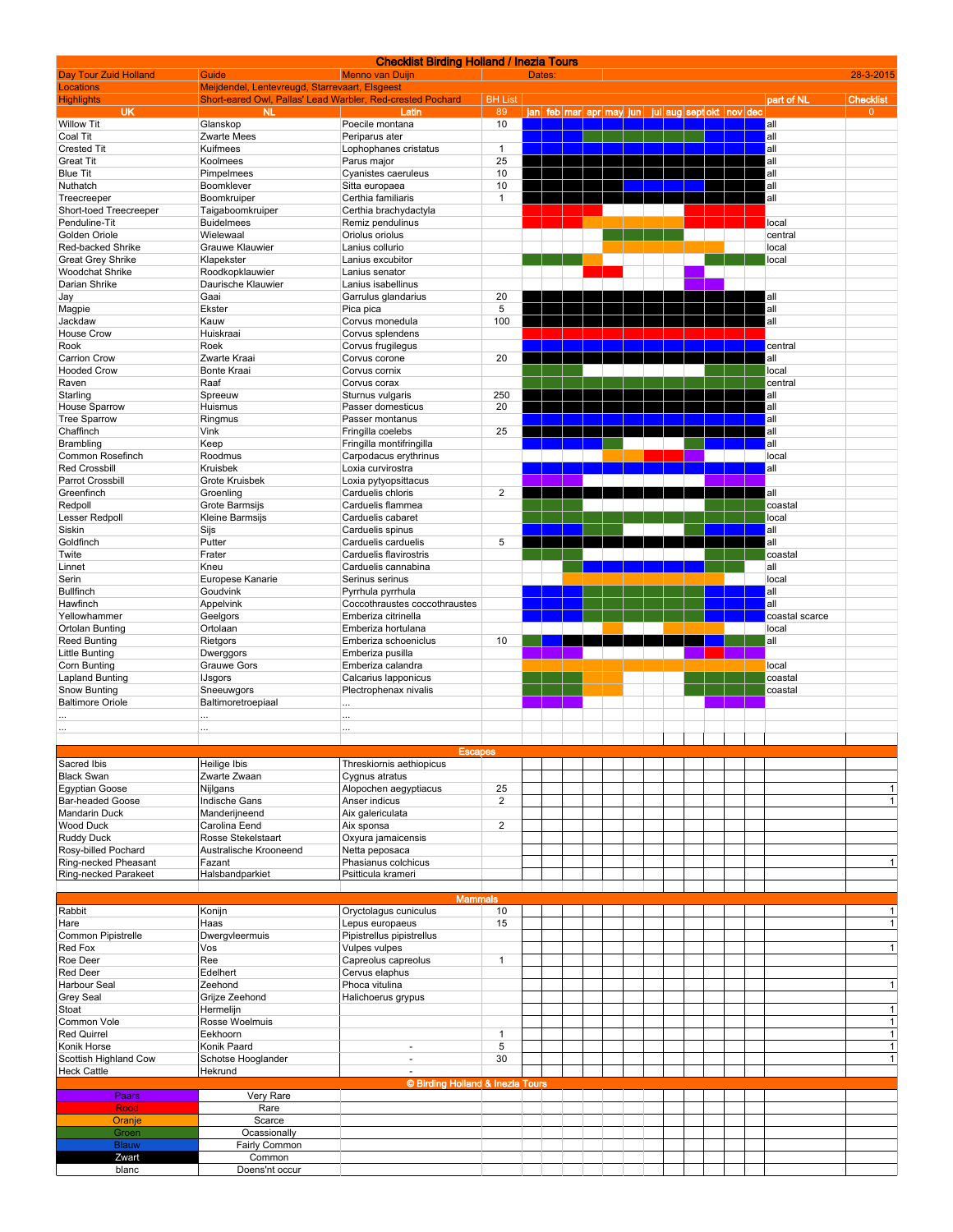|                                 |                                                            | <b>Checklist Birding Holland / Inezia Tours</b> |                         |                         |  |  |                          |  |                    |                        |
|---------------------------------|------------------------------------------------------------|-------------------------------------------------|-------------------------|-------------------------|--|--|--------------------------|--|--------------------|------------------------|
| Day Tour Zuid Holland           | Guide                                                      | <b>Menno van Duijn</b>                          |                         | Dates:                  |  |  |                          |  |                    | 28-3-2015              |
| <b>Locations</b>                | Meijdendel, Lentevreugd, Starrevaart, Elsgeest             |                                                 |                         |                         |  |  |                          |  |                    |                        |
| <b>Highlights</b>               | Short-eared Owl, Pallas' Lead Warbler, Red-crested Pochard |                                                 | <b>BH List</b>          |                         |  |  |                          |  | part of NL         | <b>Checklist</b>       |
| UK                              | NL.                                                        | Latin                                           | 89                      | jan feb mar apr may jun |  |  | iul aug sept okt nov dec |  |                    | $\Omega$               |
| <b>Willow Tit</b><br>Coal Tit   | Glanskop                                                   | Poecile montana                                 | 10                      |                         |  |  |                          |  | all                |                        |
| <b>Crested Tit</b>              | Zwarte Mees<br>Kuifmees                                    | Periparus ater<br>Lophophanes cristatus         | $\mathbf{1}$            |                         |  |  |                          |  | all<br>all         |                        |
| <b>Great Tit</b>                | Koolmees                                                   | Parus major                                     | 25                      |                         |  |  |                          |  | all                |                        |
| <b>Blue Tit</b>                 | Pimpelmees                                                 | Cyanistes caeruleus                             | 10                      |                         |  |  |                          |  | all                |                        |
| Nuthatch                        | Boomklever                                                 | Sitta europaea                                  | 10                      |                         |  |  |                          |  | all                |                        |
| Treecreeper                     | Boomkruiper                                                | Certhia familiaris                              | $\mathbf{1}$            |                         |  |  |                          |  | all                |                        |
| Short-toed Treecreeper          | Taigaboomkruiper                                           | Certhia brachydactyla                           |                         |                         |  |  |                          |  |                    |                        |
| Penduline-Tit                   | <b>Buidelmees</b>                                          | Remiz pendulinus                                |                         |                         |  |  |                          |  | local              |                        |
| Golden Oriole                   | Wielewaal                                                  | Oriolus oriolus                                 |                         |                         |  |  |                          |  | central            |                        |
| Red-backed Shrike               | Grauwe Klauwier                                            | Lanius collurio                                 |                         |                         |  |  |                          |  | local              |                        |
| <b>Great Grey Shrike</b>        | Klapekster                                                 | Lanius excubitor                                |                         |                         |  |  |                          |  | local              |                        |
| <b>Woodchat Shrike</b>          | Roodkopklauwier                                            | Lanius senator                                  |                         |                         |  |  |                          |  |                    |                        |
| Darian Shrike                   | Daurische Klauwier                                         | Lanius isabellinus                              |                         |                         |  |  |                          |  |                    |                        |
| Jay                             | Gaai                                                       | Garrulus glandarius                             | 20                      |                         |  |  |                          |  | all                |                        |
| Magpie                          | Ekster                                                     | Pica pica                                       | 5                       |                         |  |  |                          |  | all                |                        |
| Jackdaw                         | Kauw                                                       | Corvus monedula                                 | 100                     |                         |  |  |                          |  | all                |                        |
| <b>House Crow</b>               | Huiskraai                                                  | Corvus splendens                                |                         |                         |  |  |                          |  |                    |                        |
| Rook                            | Roek                                                       | Corvus frugilegus                               |                         |                         |  |  |                          |  | central            |                        |
| <b>Carrion Crow</b>             | Zwarte Kraai                                               | Corvus corone                                   | 20                      |                         |  |  |                          |  | all                |                        |
| <b>Hooded Crow</b>              | Bonte Kraai                                                | Corvus cornix                                   |                         |                         |  |  |                          |  | local              |                        |
| Raven                           | Raaf                                                       | Corvus corax                                    |                         |                         |  |  |                          |  | central            |                        |
| Starling                        | Spreeuw                                                    | Sturnus vulgaris                                | 250                     |                         |  |  |                          |  | all                |                        |
| <b>House Sparrow</b>            | Huismus                                                    | Passer domesticus                               | 20                      |                         |  |  |                          |  | all                |                        |
| <b>Tree Sparrow</b>             | Ringmus                                                    | Passer montanus                                 |                         |                         |  |  |                          |  | all                |                        |
| Chaffinch                       | Vink                                                       | Fringilla coelebs                               | 25                      |                         |  |  |                          |  | all                |                        |
| Brambling                       | Keep                                                       | Fringilla montifringilla                        |                         |                         |  |  |                          |  | all                |                        |
| Common Rosefinch                | Roodmus                                                    | Carpodacus erythrinus                           |                         |                         |  |  |                          |  | local              |                        |
| <b>Red Crossbill</b>            | Kruisbek                                                   | Loxia curvirostra                               |                         |                         |  |  |                          |  | all                |                        |
| Parrot Crossbill                | Grote Kruisbek                                             | Loxia pytyopsittacus                            |                         |                         |  |  |                          |  |                    |                        |
| Greenfinch                      | Groenling                                                  | Carduelis chloris                               | $\overline{\mathbf{c}}$ |                         |  |  |                          |  | all                |                        |
| Redpoll                         | Grote Barmsijs                                             | Carduelis flammea                               |                         |                         |  |  |                          |  | coastal            |                        |
| Lesser Redpoll                  | Kleine Barmsijs                                            | Carduelis cabaret                               |                         |                         |  |  |                          |  | local              |                        |
| Siskin                          | Sijs                                                       | Carduelis spinus                                |                         |                         |  |  |                          |  | all                |                        |
| Goldfinch                       | Putter                                                     | Carduelis carduelis                             | 5                       |                         |  |  |                          |  | all                |                        |
| Twite                           | Frater                                                     | Carduelis flavirostris                          |                         |                         |  |  |                          |  | coastal            |                        |
| Linnet                          | Kneu                                                       | Carduelis cannabina                             |                         |                         |  |  |                          |  | all                |                        |
| Serin                           | Europese Kanarie                                           | Serinus serinus                                 |                         |                         |  |  |                          |  | local              |                        |
| <b>Bullfinch</b>                | Goudvink                                                   | Pyrrhula pyrrhula                               |                         |                         |  |  |                          |  | all                |                        |
| Hawfinch                        | Appelvink                                                  | Coccothraustes coccothraustes                   |                         |                         |  |  |                          |  | all                |                        |
| Yellowhammer                    | Geelgors                                                   | Emberiza citrinella                             |                         |                         |  |  |                          |  | coastal scarce     |                        |
| Ortolan Bunting                 | Ortolaan                                                   | Emberiza hortulana                              |                         |                         |  |  |                          |  | local              |                        |
|                                 |                                                            |                                                 |                         |                         |  |  |                          |  |                    |                        |
|                                 |                                                            |                                                 |                         |                         |  |  |                          |  |                    |                        |
| <b>Reed Bunting</b>             | Rietgors                                                   | Emberiza schoeniclus                            | 10                      |                         |  |  |                          |  | all                |                        |
| Little Bunting                  | Dwerggors                                                  | Emberiza pusilla                                |                         |                         |  |  |                          |  |                    |                        |
| Corn Bunting                    | Grauwe Gors                                                | Emberiza calandra                               |                         |                         |  |  |                          |  | local              |                        |
| Lapland Bunting<br>Snow Bunting | <b>IJsgors</b><br>Sneeuwgors                               | Calcarius Iapponicus                            |                         |                         |  |  |                          |  | coastal<br>coastal |                        |
| <b>Baltimore Oriole</b>         |                                                            | Plectrophenax nivalis                           |                         |                         |  |  |                          |  |                    |                        |
|                                 | Baltimoretroepiaal                                         | $\cdots$                                        |                         |                         |  |  |                          |  |                    |                        |
|                                 | $\cdots$                                                   | $\cdots$                                        |                         |                         |  |  |                          |  |                    |                        |
| $\cdots$                        | $\cdots$                                                   | $\cdots$                                        |                         |                         |  |  |                          |  |                    |                        |
|                                 |                                                            | <b>Escapes</b>                                  |                         |                         |  |  |                          |  |                    |                        |
| Sacred Ibis                     | Heilige Ibis                                               | Threskiornis aethiopicus                        |                         |                         |  |  |                          |  |                    |                        |
| <b>Black Swan</b>               | Zwarte Zwaan                                               | Cygnus atratus                                  |                         |                         |  |  |                          |  |                    |                        |
| Egyptian Goose                  | Nijlgans                                                   | Alopochen aegyptiacus                           | 25                      |                         |  |  |                          |  |                    | $\vert$ 1              |
| <b>Bar-headed Goose</b>         | Indische Gans                                              | Anser indicus                                   | $\overline{2}$          |                         |  |  |                          |  |                    | $\mathbf{1}$           |
| <b>Mandarin Duck</b>            | Manderijneend                                              | Aix galericulata                                |                         |                         |  |  |                          |  |                    |                        |
| <b>Wood Duck</b>                | Carolina Eend                                              | Aix sponsa                                      | $\overline{2}$          |                         |  |  |                          |  |                    |                        |
| <b>Ruddy Duck</b>               | Rosse Stekelstaart                                         | Oxyura jamaicensis                              |                         |                         |  |  |                          |  |                    |                        |
| Rosy-billed Pochard             | Australische Krooneend                                     | Netta peposaca                                  |                         |                         |  |  |                          |  |                    |                        |
| Ring-necked Pheasant            | Fazant                                                     | Phasianus colchicus                             |                         |                         |  |  |                          |  |                    | $\vert$ 1              |
| Ring-necked Parakeet            | Halsbandparkiet                                            | Psitticula krameri                              |                         |                         |  |  |                          |  |                    |                        |
|                                 |                                                            |                                                 |                         |                         |  |  |                          |  |                    |                        |
|                                 |                                                            | <b>Mammals</b>                                  |                         |                         |  |  |                          |  |                    |                        |
| Rabbit                          | Konijn                                                     | Oryctolagus cuniculus                           | 10                      |                         |  |  |                          |  |                    | $\vert$ 1              |
| Hare                            | Haas                                                       | Lepus europaeus                                 | 15                      |                         |  |  |                          |  |                    | $\vert$ 1              |
| Common Pipistrelle              | Dwergvleermuis                                             | Pipistrellus pipistrellus                       |                         |                         |  |  |                          |  |                    |                        |
| Red Fox                         | Vos                                                        | Vulpes vulpes                                   |                         |                         |  |  |                          |  |                    | 1                      |
| Roe Deer                        | Ree                                                        | Capreolus capreolus                             | $\mathbf{1}$            |                         |  |  |                          |  |                    |                        |
| <b>Red Deer</b>                 | Edelhert                                                   | Cervus elaphus                                  |                         |                         |  |  |                          |  |                    |                        |
| Harbour Seal                    | Zeehond                                                    | Phoca vitulina                                  |                         |                         |  |  |                          |  |                    | 1                      |
| <b>Grey Seal</b>                | Grijze Zeehond                                             | Halichoerus grypus                              |                         |                         |  |  |                          |  |                    |                        |
| Stoat                           | Hermelijn                                                  |                                                 |                         |                         |  |  |                          |  |                    | 1                      |
| Common Vole                     | Rosse Woelmuis                                             |                                                 |                         |                         |  |  |                          |  |                    | $\vert$ 1              |
| <b>Red Quirrel</b>              | Eekhoorn                                                   |                                                 | 1                       |                         |  |  |                          |  |                    |                        |
| Konik Horse                     | Konik Paard                                                | $\sim$                                          | 5                       |                         |  |  |                          |  |                    |                        |
| Scottish Highland Cow           | Schotse Hooglander                                         | $\blacksquare$                                  | 30                      |                         |  |  |                          |  |                    | $\mathbf{1}$<br>1<br>1 |
| <b>Heck Cattle</b>              | Hekrund                                                    | $\overline{\phantom{a}}$                        |                         |                         |  |  |                          |  |                    |                        |
|                                 |                                                            | © Birding Holland & Inezia Tours                |                         |                         |  |  |                          |  |                    |                        |
| Paars                           | Very Rare                                                  |                                                 |                         |                         |  |  |                          |  |                    |                        |
| Rood                            | Rare                                                       |                                                 |                         |                         |  |  |                          |  |                    |                        |
| Oranje                          | Scarce                                                     |                                                 |                         |                         |  |  |                          |  |                    |                        |
| Groen                           | Ocassionally                                               |                                                 |                         |                         |  |  |                          |  |                    |                        |
| Blauw                           | Fairly Common                                              |                                                 |                         |                         |  |  |                          |  |                    |                        |
| Zwart<br>blanc                  | Common<br>Doens'nt occur                                   |                                                 |                         |                         |  |  |                          |  |                    |                        |